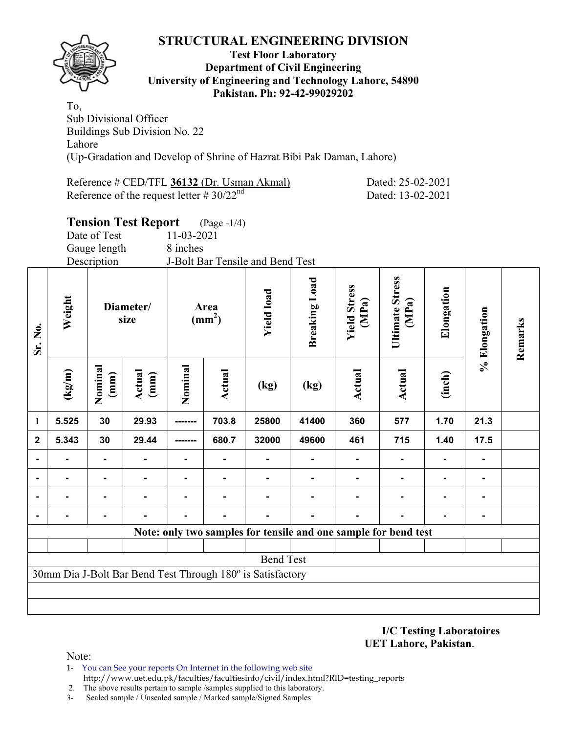

### **Test Floor Laboratory Department of Civil Engineering University of Engineering and Technology Lahore, 54890 Pakistan. Ph: 92-42-99029202**

To, Sub Divisional Officer Buildings Sub Division No. 22 Lahore (Up-Gradation and Develop of Shrine of Hazrat Bibi Pak Daman, Lahore)

| Reference # CED/TFL 36132 (Dr. Usman Akmal)    | Dated: 25-02-2021 |
|------------------------------------------------|-------------------|
| Reference of the request letter # $30/22^{nd}$ | Dated: 13-02-2021 |

# **Tension Test Report** (Page -1/4)

| Date of Test | 11-03-2021                       |
|--------------|----------------------------------|
| Gauge length | 8 inches                         |
| Description  | J-Bolt Bar Tensile and Bend Test |

| Sr. No.      | Weight | Diameter/<br>size |                | Area<br>(mm <sup>2</sup> ) |        | <b>Yield load</b>                                               | <b>Breaking Load</b> | <b>Yield Stress</b><br>(MPa) | <b>Ultimate Stress</b><br>(MPa) | Elongation | % Elongation | Remarks |
|--------------|--------|-------------------|----------------|----------------------------|--------|-----------------------------------------------------------------|----------------------|------------------------------|---------------------------------|------------|--------------|---------|
|              | (kg/m) | Nominal<br>(mm)   | Actual<br>(mm) | Nominal                    | Actual | (kg)                                                            | (kg)                 | Actual                       | Actual                          | (inch)     |              |         |
| 1            | 5.525  | 30                | 29.93          | -------                    | 703.8  | 25800                                                           | 41400                | 360                          | 577                             | 1.70       | 21.3         |         |
| $\mathbf{2}$ | 5.343  | 30                | 29.44          |                            | 680.7  | 32000                                                           | 49600                | 461                          | 715                             | 1.40       | 17.5         |         |
|              |        | Ξ.                |                |                            |        |                                                                 | -                    | -                            | $\blacksquare$                  |            |              |         |
|              |        |                   |                |                            |        |                                                                 |                      |                              | $\blacksquare$                  |            |              |         |
|              |        |                   |                |                            |        |                                                                 |                      |                              |                                 |            |              |         |
|              |        |                   |                | $\blacksquare$             |        |                                                                 |                      |                              |                                 |            |              |         |
|              |        |                   |                |                            |        | Note: only two samples for tensile and one sample for bend test |                      |                              |                                 |            |              |         |
|              |        |                   |                |                            |        |                                                                 |                      |                              |                                 |            |              |         |
|              |        |                   |                |                            |        | <b>Bend Test</b>                                                |                      |                              |                                 |            |              |         |
|              |        |                   |                |                            |        | 30mm Dia J-Bolt Bar Bend Test Through 180° is Satisfactory      |                      |                              |                                 |            |              |         |
|              |        |                   |                |                            |        |                                                                 |                      |                              |                                 |            |              |         |
|              |        |                   |                |                            |        |                                                                 |                      |                              |                                 |            |              |         |

**I/C Testing Laboratoires UET Lahore, Pakistan**.

- 1- You can See your reports On Internet in the following web site http://www.uet.edu.pk/faculties/facultiesinfo/civil/index.html?RID=testing\_reports
- 2. The above results pertain to sample /samples supplied to this laboratory.
- 3- Sealed sample / Unsealed sample / Marked sample/Signed Samples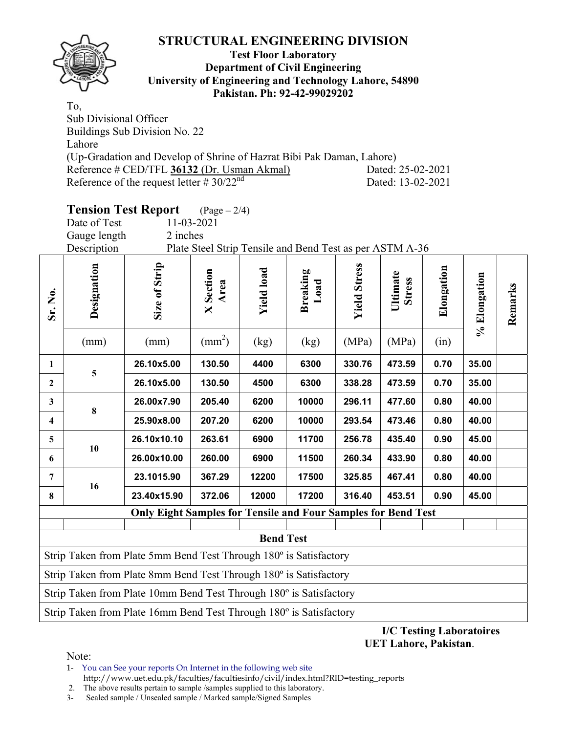

### **Test Floor Laboratory Department of Civil Engineering University of Engineering and Technology Lahore, 54890 Pakistan. Ph: 92-42-99029202**

To, Sub Divisional Officer Buildings Sub Division No. 22 Lahore (Up-Gradation and Develop of Shrine of Hazrat Bibi Pak Daman, Lahore) Reference # CED/TFL **36132** (Dr. Usman Akmal) Dated: 25-02-2021 Reference of the request letter  $# 30/22^{nd}$  Dated: 13-02-2021

# **Tension Test Report** (Page – 2/4)

Gauge length 2 inches

Date of Test 11-03-2021

Description Plate Steel Strip Tensile and Bend Test as per ASTM A-36

| Sr. No.                 | Designation<br>(mm)                                                                   | Size of Strip<br>(mm)                                                          | <b>X</b> Section<br>Area<br>$\text{(mm}^2)$ | <b>Yield load</b><br>(kg) | <b>Breaking</b><br>Load<br>(kg) | <b>Yield Stress</b><br>(MPa) | Ultimate<br><b>Stress</b><br>(MPa) | Elongation<br>(in) | % Elongation | Remarks |  |  |
|-------------------------|---------------------------------------------------------------------------------------|--------------------------------------------------------------------------------|---------------------------------------------|---------------------------|---------------------------------|------------------------------|------------------------------------|--------------------|--------------|---------|--|--|
| 1                       |                                                                                       | 26.10x5.00                                                                     | 130.50                                      | 4400                      | 6300                            | 330.76                       | 473.59                             | 0.70               | 35.00        |         |  |  |
| $\overline{2}$          | 5                                                                                     | 26.10x5.00                                                                     | 130.50                                      | 4500                      | 6300                            | 338.28                       | 473.59                             | 0.70               | 35.00        |         |  |  |
| $\mathbf{3}$            |                                                                                       | 26.00x7.90                                                                     | 205.40                                      | 6200                      | 10000                           | 296.11                       | 477.60                             | 0.80               | 40.00        |         |  |  |
| $\overline{\mathbf{4}}$ | 8                                                                                     | 25.90x8.00                                                                     | 207.20                                      | 6200                      | 10000                           | 293.54                       | 473.46                             | 0.80               | 40.00        |         |  |  |
| 5                       | 10                                                                                    | 26.10x10.10                                                                    | 263.61                                      | 6900                      | 11700                           | 256.78                       | 435.40                             | 0.90               | 45.00        |         |  |  |
| 6                       |                                                                                       | 26.00x10.00                                                                    | 260.00                                      | 6900                      | 11500                           | 260.34                       | 433.90                             | 0.80               | 40.00        |         |  |  |
| 7                       | 16                                                                                    | 23.1015.90                                                                     | 367.29                                      | 12200                     | 17500                           | 325.85                       | 467.41                             | 0.80               | 40.00        |         |  |  |
| 8                       |                                                                                       | 23.40x15.90                                                                    | 372.06                                      | 12000                     | 17200                           | 316.40                       | 453.51                             | 0.90               | 45.00        |         |  |  |
|                         |                                                                                       | <b>Only Eight Samples for Tensile and Four Samples for Bend Test</b>           |                                             |                           |                                 |                              |                                    |                    |              |         |  |  |
|                         |                                                                                       |                                                                                |                                             |                           |                                 |                              |                                    |                    |              |         |  |  |
|                         | <b>Bend Test</b><br>Strip Taken from Plate 5mm Bend Test Through 180° is Satisfactory |                                                                                |                                             |                           |                                 |                              |                                    |                    |              |         |  |  |
|                         | Strip Taken from Plate 8mm Bend Test Through 180° is Satisfactory                     |                                                                                |                                             |                           |                                 |                              |                                    |                    |              |         |  |  |
|                         | Strip Taken from Plate 10mm Bend Test Through 180° is Satisfactory                    |                                                                                |                                             |                           |                                 |                              |                                    |                    |              |         |  |  |
|                         |                                                                                       | Strip Taken from Plate 16mm Bend Test Through 180 <sup>°</sup> is Satisfactory |                                             |                           |                                 |                              |                                    |                    |              |         |  |  |

**I/C Testing Laboratoires UET Lahore, Pakistan**.

Note:

1- You can See your reports On Internet in the following web site http://www.uet.edu.pk/faculties/facultiesinfo/civil/index.html?RID=testing\_reports

2. The above results pertain to sample /samples supplied to this laboratory.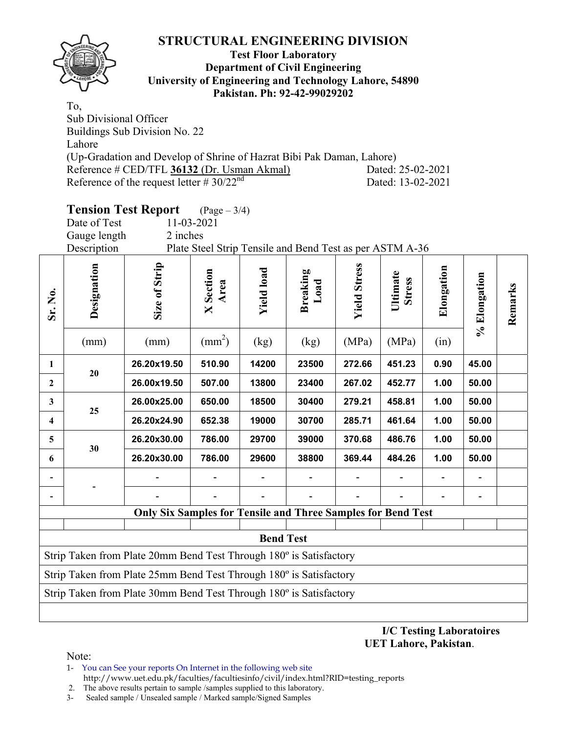

### **Test Floor Laboratory Department of Civil Engineering University of Engineering and Technology Lahore, 54890 Pakistan. Ph: 92-42-99029202**

To, Sub Divisional Officer Buildings Sub Division No. 22 Lahore (Up-Gradation and Develop of Shrine of Hazrat Bibi Pak Daman, Lahore) Reference # CED/TFL **36132** (Dr. Usman Akmal) Dated: 25-02-2021 Reference of the request letter  $# 30/22^{nd}$  Dated: 13-02-2021

# **Tension Test Report** (Page – 3/4)

Date of Test 11-03-2021 Gauge length 2 inches

Description Plate Steel Strip Tensile and Bend Test as per ASTM A-36

| Sr. No.                                                            | Designation                                                        | Size of Strip                                                       | <b>X</b> Section<br>Area<br>$\text{(mm}^2)$ | <b>Yield load</b> | <b>Breaking</b><br>Load | <b>Yield Stress</b><br>(MPa) | Ultimate<br><b>Stress</b><br>(MPa) | Elongation | % Elongation | Remarks |  |  |
|--------------------------------------------------------------------|--------------------------------------------------------------------|---------------------------------------------------------------------|---------------------------------------------|-------------------|-------------------------|------------------------------|------------------------------------|------------|--------------|---------|--|--|
|                                                                    | (mm)                                                               | (mm)                                                                |                                             | (kg)              | (kg)                    |                              |                                    | (in)       |              |         |  |  |
| 1                                                                  | 20                                                                 | 26.20x19.50                                                         | 510.90                                      | 14200             | 23500                   | 272.66                       | 451.23                             | 0.90       | 45.00        |         |  |  |
| $\mathbf{2}$                                                       |                                                                    | 26.00x19.50                                                         | 507.00                                      | 13800             | 23400                   | 267.02                       | 452.77                             | 1.00       | 50.00        |         |  |  |
| 3                                                                  | 25                                                                 | 26.00x25.00                                                         | 650.00                                      | 18500             | 30400                   | 279.21                       | 458.81                             | 1.00       | 50.00        |         |  |  |
| 4                                                                  |                                                                    | 26.20x24.90                                                         | 652.38                                      | 19000             | 30700                   | 285.71                       | 461.64                             | 1.00       | 50.00        |         |  |  |
| 5.                                                                 | 30                                                                 | 26.20x30.00                                                         | 786.00                                      | 29700             | 39000                   | 370.68                       | 486.76                             | 1.00       | 50.00        |         |  |  |
| 6                                                                  |                                                                    | 26.20x30.00                                                         | 786.00                                      | 29600             | 38800                   | 369.44                       | 484.26                             | 1.00       | 50.00        |         |  |  |
|                                                                    |                                                                    |                                                                     |                                             |                   |                         |                              |                                    |            |              |         |  |  |
|                                                                    |                                                                    |                                                                     |                                             |                   |                         |                              |                                    |            |              |         |  |  |
|                                                                    |                                                                    | <b>Only Six Samples for Tensile and Three Samples for Bend Test</b> |                                             |                   |                         |                              |                                    |            |              |         |  |  |
|                                                                    |                                                                    |                                                                     |                                             |                   |                         |                              |                                    |            |              |         |  |  |
|                                                                    |                                                                    |                                                                     |                                             | <b>Bend Test</b>  |                         |                              |                                    |            |              |         |  |  |
|                                                                    | Strip Taken from Plate 20mm Bend Test Through 180° is Satisfactory |                                                                     |                                             |                   |                         |                              |                                    |            |              |         |  |  |
| Strip Taken from Plate 25mm Bend Test Through 180° is Satisfactory |                                                                    |                                                                     |                                             |                   |                         |                              |                                    |            |              |         |  |  |
|                                                                    |                                                                    | Strip Taken from Plate 30mm Bend Test Through 180° is Satisfactory  |                                             |                   |                         |                              |                                    |            |              |         |  |  |
|                                                                    |                                                                    |                                                                     |                                             |                   |                         |                              |                                    |            |              |         |  |  |

**I/C Testing Laboratoires UET Lahore, Pakistan**.

Note:

1- You can See your reports On Internet in the following web site

 http://www.uet.edu.pk/faculties/facultiesinfo/civil/index.html?RID=testing\_reports 2. The above results pertain to sample /samples supplied to this laboratory.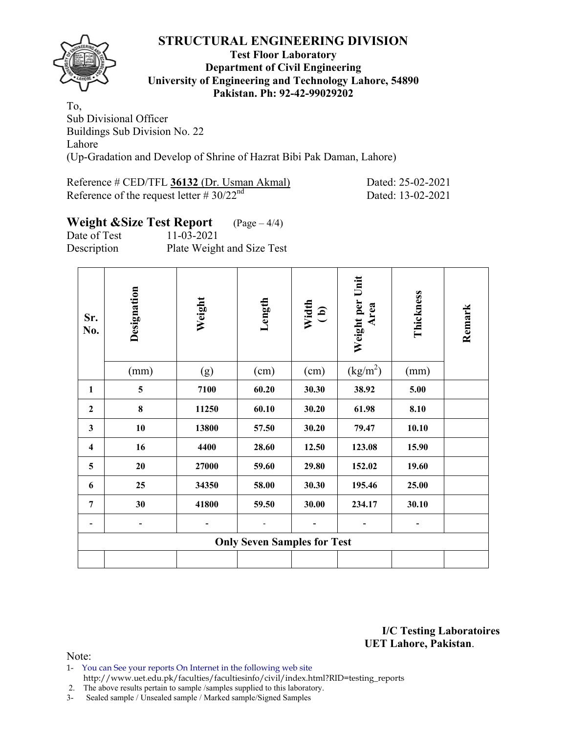

### **Test Floor Laboratory Department of Civil Engineering University of Engineering and Technology Lahore, 54890 Pakistan. Ph: 92-42-99029202**

To, Sub Divisional Officer Buildings Sub Division No. 22 Lahore (Up-Gradation and Develop of Shrine of Hazrat Bibi Pak Daman, Lahore)

| Reference # CED/TFL 36132 (Dr. Usman Akmal)    | Dated: 25-02-2021 |
|------------------------------------------------|-------------------|
| Reference of the request letter # $30/22^{nd}$ | Dated: 13-02-2021 |

# **Weight &Size Test Report** (Page – 4/4)

Date of Test 11-03-2021

Description Plate Weight and Size Test

| Sr.<br>No.              | Designation | Weight | Length                             | Width<br>(b) | Weight per Unit          | Thickness | Remark |
|-------------------------|-------------|--------|------------------------------------|--------------|--------------------------|-----------|--------|
|                         | (mm)        | (g)    | (cm)                               | (cm)         | $\text{(kg/m}^2\text{)}$ | (mm)      |        |
| $\mathbf{1}$            | 5           | 7100   | 60.20                              | 30.30        | 38.92                    | 5.00      |        |
| $\mathbf{2}$            | 8           | 11250  | 60.10                              | 30.20        | 61.98                    | 8.10      |        |
| $\mathbf{3}$            | 10          | 13800  | 57.50                              | 30.20        | 79.47                    | 10.10     |        |
| $\overline{\mathbf{4}}$ | 16          | 4400   | 28.60                              | 12.50        | 123.08                   | 15.90     |        |
| 5                       | 20          | 27000  | 59.60                              | 29.80        | 152.02                   | 19.60     |        |
| 6                       | 25          | 34350  | 58.00                              | 30.30        | 195.46                   | 25.00     |        |
| 7                       | 30          | 41800  | 59.50                              | 30.00        | 234.17                   | 30.10     |        |
|                         |             |        |                                    |              |                          |           |        |
|                         |             |        | <b>Only Seven Samples for Test</b> |              |                          |           |        |
|                         |             |        |                                    |              |                          |           |        |

**I/C Testing Laboratoires UET Lahore, Pakistan**.

- 1- You can See your reports On Internet in the following web site http://www.uet.edu.pk/faculties/facultiesinfo/civil/index.html?RID=testing\_reports
- 2. The above results pertain to sample /samples supplied to this laboratory.
- 3- Sealed sample / Unsealed sample / Marked sample/Signed Samples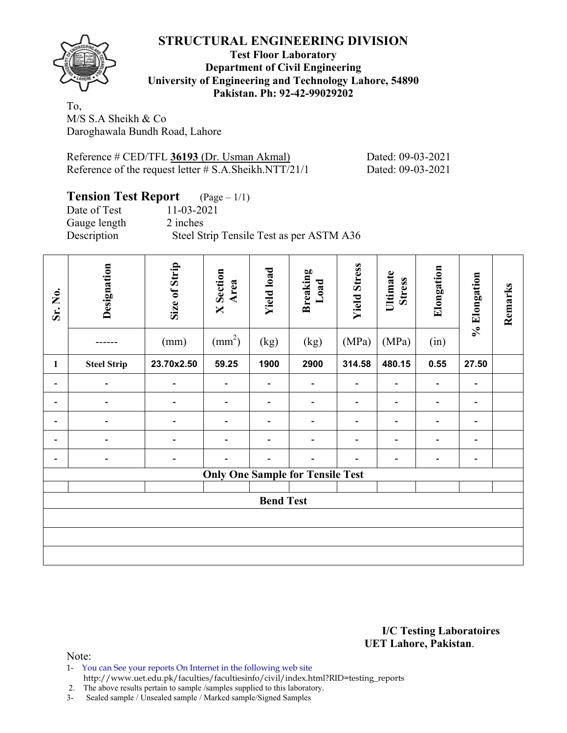

### **Test Floor Laboratory Department of Civil Engineering University of Engineering and Technology Lahore, 54890 Pakistan. Ph: 92-42-99029202**

To, M/S S.A Sheikh & Co Daroghawala Bundh Road, Lahore

Reference # CED/TFL **36193** (Dr. Usman Akmal) Dated: 09-03-2021 Reference of the request letter # S.A.Sheikh.NTT/21/1 Dated: 09-03-2021

### **Tension Test Report** (Page – 1/1) Date of Test 11-03-2021 Gauge length 2 inches Description Steel Strip Tensile Test as per ASTM A36

| Sr. No.                  | Designation        | Size of Strip<br>(mm) | <b>X</b> Section<br>Area<br>$\text{(mm}^2)$ | <b>Yield load</b><br>(kg) | <b>Breaking</b><br>Load<br>(kg)         | <b>Yield Stress</b><br>(MPa) | Ultimate<br><b>Stress</b><br>(MPa) | Elongation<br>(in)           | % Elongation   | Remarks |
|--------------------------|--------------------|-----------------------|---------------------------------------------|---------------------------|-----------------------------------------|------------------------------|------------------------------------|------------------------------|----------------|---------|
| 1                        | <b>Steel Strip</b> | 23.70x2.50            | 59.25                                       | 1900                      | 2900                                    | 314.58                       | 480.15                             | 0.55                         | 27.50          |         |
|                          |                    | $\overline{a}$        |                                             |                           |                                         |                              |                                    | $\qquad \qquad \blacksquare$ | $\blacksquare$ |         |
|                          |                    |                       |                                             |                           |                                         |                              |                                    | $\overline{\phantom{0}}$     | -              |         |
|                          |                    | -                     |                                             |                           |                                         |                              |                                    |                              |                |         |
| $\overline{\phantom{0}}$ |                    | $\overline{a}$        |                                             |                           |                                         |                              |                                    |                              | -              |         |
|                          |                    | $\overline{a}$        |                                             |                           |                                         |                              |                                    |                              | -              |         |
|                          |                    |                       |                                             |                           | <b>Only One Sample for Tensile Test</b> |                              |                                    |                              |                |         |
|                          |                    |                       |                                             | <b>Bend Test</b>          |                                         |                              |                                    |                              |                |         |
|                          |                    |                       |                                             |                           |                                         |                              |                                    |                              |                |         |
|                          |                    |                       |                                             |                           |                                         |                              |                                    |                              |                |         |

**I/C Testing Laboratoires UET Lahore, Pakistan**.

- 1- You can See your reports On Internet in the following web site
- http://www.uet.edu.pk/faculties/facultiesinfo/civil/index.html?RID=testing\_reports
- 2. The above results pertain to sample /samples supplied to this laboratory. 3- Sealed sample / Unsealed sample / Marked sample/Signed Samples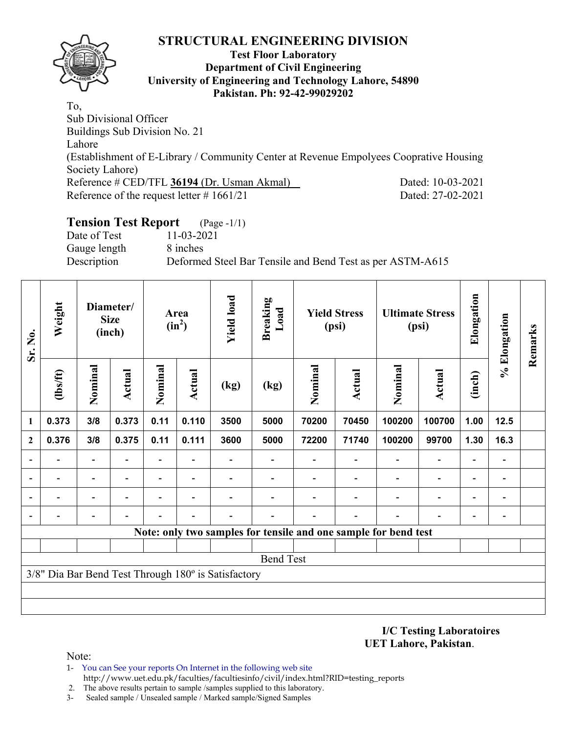

### **Test Floor Laboratory Department of Civil Engineering University of Engineering and Technology Lahore, 54890 Pakistan. Ph: 92-42-99029202**

To, Sub Divisional Officer Buildings Sub Division No. 21 Lahore (Establishment of E-Library / Community Center at Revenue Empolyees Cooprative Housing Society Lahore) Reference # CED/TFL **36194** (Dr. Usman Akmal) Dated: 10-03-2021 Reference of the request letter # 1661/21 Dated: 27-02-2021

# **Tension Test Report** (Page -1/1)

Date of Test 11-03-2021 Gauge length 8 inches

Description Deformed Steel Bar Tensile and Bend Test as per ASTM-A615

| Sr. No.                  | Weight         |                          | Diameter/<br><b>Size</b><br>(inch) | Area<br>$(in^2)$         |        | <b>Yield load</b>                                   | <b>Breaking</b><br>Load | <b>Yield Stress</b><br>(psi) |               | <b>Ultimate Stress</b><br>(psi)                                 |                          | Elongation               | % Elongation             | Remarks |
|--------------------------|----------------|--------------------------|------------------------------------|--------------------------|--------|-----------------------------------------------------|-------------------------|------------------------------|---------------|-----------------------------------------------------------------|--------------------------|--------------------------|--------------------------|---------|
|                          | $\frac{2}{10}$ | Nominal                  | Actual                             | Nominal                  | Actual | (kg)                                                | (kg)                    | Nominal                      | <b>Actual</b> | Nominal                                                         | <b>Actual</b>            | (inch)                   |                          |         |
| $\mathbf{1}$             | 0.373          | 3/8                      | 0.373                              | 0.11                     | 0.110  | 3500                                                | 5000                    | 70200                        | 70450         | 100200                                                          | 100700                   | 1.00                     | 12.5                     |         |
| $\overline{2}$           | 0.376          | 3/8                      | 0.375                              | 0.11                     | 0.111  | 3600                                                | 5000                    | 72200                        | 71740         | 100200                                                          | 99700                    | 1.30                     | 16.3                     |         |
| $\overline{\phantom{0}}$ |                | $\blacksquare$           |                                    | $\overline{\phantom{a}}$ |        |                                                     |                         |                              |               |                                                                 | $\overline{a}$           | $\overline{a}$           |                          |         |
| $\overline{\phantom{a}}$ |                | $\overline{\phantom{0}}$ |                                    |                          |        |                                                     |                         |                              |               |                                                                 | $\overline{a}$           | $\overline{\phantom{0}}$ |                          |         |
| $\overline{\phantom{a}}$ |                | $\blacksquare$           |                                    |                          |        |                                                     |                         |                              |               |                                                                 | $\overline{a}$           | -                        | $\overline{\phantom{0}}$ |         |
| $\overline{\phantom{a}}$ |                |                          |                                    |                          |        |                                                     |                         |                              |               | $\overline{\phantom{0}}$                                        | $\overline{\phantom{0}}$ | $\overline{\phantom{0}}$ |                          |         |
|                          |                |                          |                                    |                          |        |                                                     |                         |                              |               | Note: only two samples for tensile and one sample for bend test |                          |                          |                          |         |
|                          |                |                          |                                    |                          |        |                                                     |                         |                              |               |                                                                 |                          |                          |                          |         |
|                          |                |                          |                                    |                          |        |                                                     | <b>Bend Test</b>        |                              |               |                                                                 |                          |                          |                          |         |
|                          |                |                          |                                    |                          |        | 3/8" Dia Bar Bend Test Through 180° is Satisfactory |                         |                              |               |                                                                 |                          |                          |                          |         |
|                          |                |                          |                                    |                          |        |                                                     |                         |                              |               |                                                                 |                          |                          |                          |         |
|                          |                |                          |                                    |                          |        |                                                     |                         |                              |               |                                                                 |                          |                          |                          |         |

**I/C Testing Laboratoires UET Lahore, Pakistan**.

Note:

1- You can See your reports On Internet in the following web site http://www.uet.edu.pk/faculties/facultiesinfo/civil/index.html?RID=testing\_reports

2. The above results pertain to sample /samples supplied to this laboratory.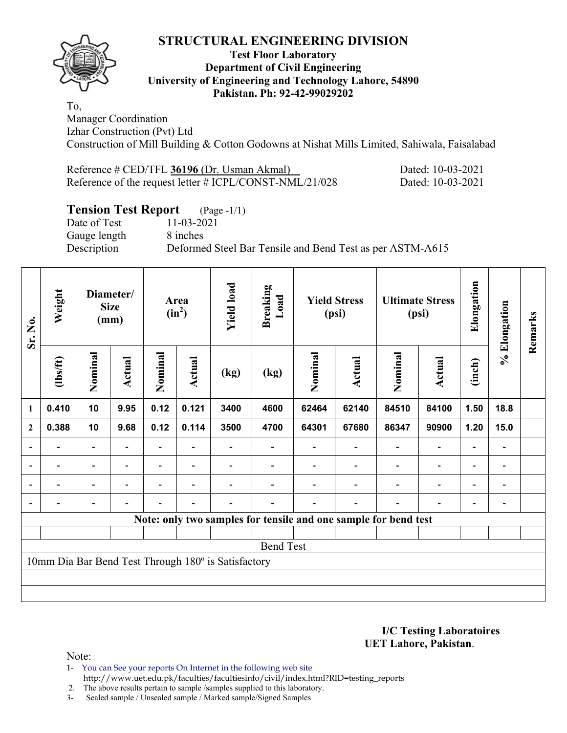

### **Test Floor Laboratory Department of Civil Engineering University of Engineering and Technology Lahore, 54890 Pakistan. Ph: 92-42-99029202**

To, Manager Coordination Izhar Construction (Pvt) Ltd Construction of Mill Building & Cotton Godowns at Nishat Mills Limited, Sahiwala, Faisalabad

| Reference # CED/TFL 36196 (Dr. Usman Akmal)             | Dated: |
|---------------------------------------------------------|--------|
| Reference of the request letter # ICPL/CONST-NML/21/028 | Dated: |

# **Tension Test Report** (Page -1/1)<br>Date of Test 11-03-2021

Date of Test Gauge length 8 inches

Description Deformed Steel Bar Tensile and Bend Test as per ASTM-A615

| Sr. No.                  | Weight         |                          | Diameter/<br><b>Size</b><br>(mm) | Area<br>$(in^2)$ |                          | <b>Yield load</b>                                   | <b>Breaking</b><br>Load | <b>Yield Stress</b><br>(psi) |                          | <b>Ultimate Stress</b><br>(psi)                                 |                          | Elongation               |                | Remarks |
|--------------------------|----------------|--------------------------|----------------------------------|------------------|--------------------------|-----------------------------------------------------|-------------------------|------------------------------|--------------------------|-----------------------------------------------------------------|--------------------------|--------------------------|----------------|---------|
|                          | (1bs/ft)       | Nominal                  | Actual                           | Nominal          | Actual                   | (kg)                                                | (kg)                    | Nominal                      | Actual                   | Nominal                                                         | <b>Actual</b>            | (inch)                   | % Elongation   |         |
| $\mathbf{1}$             | 0.410          | 10                       | 9.95                             | 0.12             | 0.121                    | 3400                                                | 4600                    | 62464                        | 62140                    | 84510                                                           | 84100                    | 1.50                     | 18.8           |         |
| $\boldsymbol{2}$         | 0.388          | 10                       | 9.68                             | 0.12             | 0.114                    | 3500                                                | 4700                    | 64301                        | 67680                    | 86347                                                           | 90900                    | 1.20                     | 15.0           |         |
| $\overline{\phantom{a}}$ |                | $\overline{\phantom{a}}$ | $\overline{\phantom{0}}$         |                  | $\overline{\phantom{0}}$ |                                                     |                         |                              | $\overline{\phantom{a}}$ | $\overline{\phantom{a}}$                                        | $\overline{\phantom{a}}$ | $\overline{\phantom{a}}$ |                |         |
| $\blacksquare$           | Ξ.             | $\blacksquare$           | $\blacksquare$                   | Ξ.               | $\blacksquare$           |                                                     |                         |                              |                          | $\overline{\phantom{0}}$                                        | $\overline{a}$           | $\overline{\phantom{a}}$ | $\blacksquare$ |         |
|                          | $\blacksquare$ | $\blacksquare$           | L,                               |                  | $\overline{\phantom{0}}$ |                                                     |                         |                              | $\overline{\phantom{0}}$ | $\overline{a}$                                                  | $\overline{a}$           | $\overline{\phantom{0}}$ |                |         |
|                          |                | $\overline{\phantom{0}}$ |                                  |                  |                          |                                                     |                         |                              | $\blacksquare$           |                                                                 | $\overline{\phantom{0}}$ | ۰                        |                |         |
|                          |                |                          |                                  |                  |                          |                                                     |                         |                              |                          | Note: only two samples for tensile and one sample for bend test |                          |                          |                |         |
|                          |                |                          |                                  |                  |                          |                                                     |                         |                              |                          |                                                                 |                          |                          |                |         |
|                          |                |                          |                                  |                  |                          |                                                     | <b>Bend Test</b>        |                              |                          |                                                                 |                          |                          |                |         |
|                          |                |                          |                                  |                  |                          | 10mm Dia Bar Bend Test Through 180° is Satisfactory |                         |                              |                          |                                                                 |                          |                          |                |         |
|                          |                |                          |                                  |                  |                          |                                                     |                         |                              |                          |                                                                 |                          |                          |                |         |
|                          |                |                          |                                  |                  |                          |                                                     |                         |                              |                          |                                                                 |                          |                          |                |         |

**I/C Testing Laboratoires UET Lahore, Pakistan**.

10-03-2021 10-03-2021

Note:

1- You can See your reports On Internet in the following web site http://www.uet.edu.pk/faculties/facultiesinfo/civil/index.html?RID=testing\_reports

2. The above results pertain to sample /samples supplied to this laboratory.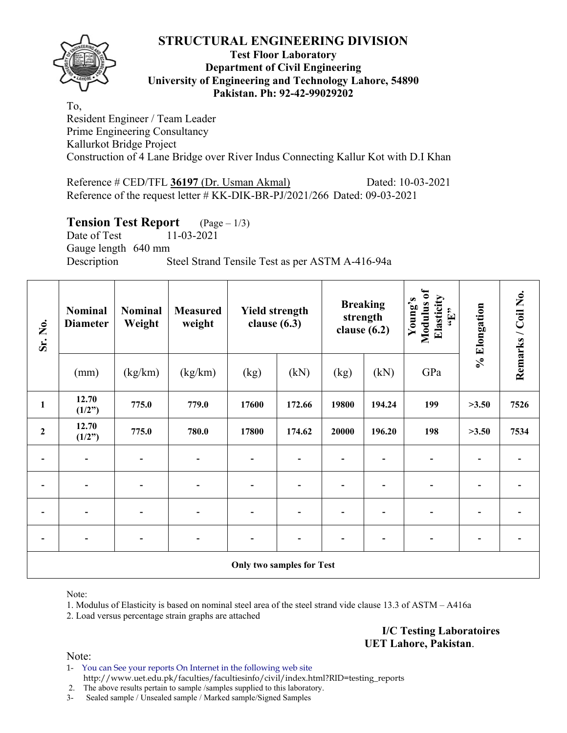

### **Test Floor Laboratory Department of Civil Engineering University of Engineering and Technology Lahore, 54890 Pakistan. Ph: 92-42-99029202**

To, Resident Engineer / Team Leader Prime Engineering Consultancy Kallurkot Bridge Project Construction of 4 Lane Bridge over River Indus Connecting Kallur Kot with D.I Khan

Reference # CED/TFL **36197** (Dr. Usman Akmal) Dated: 10-03-2021 Reference of the request letter # KK-DIK-BR-PJ/2021/266 Dated: 09-03-2021

# **Tension Test Report** (Page – 1/3)

Date of Test 11-03-2021 Gauge length 640 mm Description Steel Strand Tensile Test as per ASTM A-416-94a

| Sr. No.      | <b>Nominal</b><br><b>Diameter</b> | <b>Nominal</b><br>Weight | <b>Measured</b><br>weight | <b>Yield strength</b><br>clause $(6.3)$ |        | <b>Breaking</b><br>strength<br>clause $(6.2)$ |        | Modulus of<br>Elasticity<br>Young's<br>$\mathbf{f}$ , $\mathbf{H}$ , | % Elongation | Remarks / Coil No. |  |  |
|--------------|-----------------------------------|--------------------------|---------------------------|-----------------------------------------|--------|-----------------------------------------------|--------|----------------------------------------------------------------------|--------------|--------------------|--|--|
|              | (mm)                              | (kg/km)                  | (kg/km)                   | (kg)                                    | (kN)   | (kg)                                          | (kN)   | GPa                                                                  |              |                    |  |  |
| $\mathbf{1}$ | 12.70<br>(1/2")                   | 775.0                    | 779.0                     | 17600                                   | 172.66 | 19800                                         | 194.24 | 199                                                                  | >3.50        | 7526               |  |  |
| $\mathbf{2}$ | 12.70<br>(1/2")                   | 775.0                    | 780.0                     | 17800                                   | 174.62 | 20000                                         | 196.20 | 198                                                                  | >3.50        | 7534               |  |  |
|              | $\blacksquare$                    |                          |                           |                                         |        |                                               |        |                                                                      |              |                    |  |  |
|              | $\overline{\phantom{a}}$          | $\overline{\phantom{0}}$ |                           |                                         |        |                                               |        |                                                                      |              |                    |  |  |
|              | $\blacksquare$                    | $\overline{\phantom{a}}$ |                           |                                         |        |                                               |        |                                                                      |              |                    |  |  |
|              | $\overline{\phantom{0}}$          |                          |                           |                                         |        |                                               |        |                                                                      |              |                    |  |  |
|              | <b>Only two samples for Test</b>  |                          |                           |                                         |        |                                               |        |                                                                      |              |                    |  |  |

Note:

1. Modulus of Elasticity is based on nominal steel area of the steel strand vide clause 13.3 of ASTM – A416a

2. Load versus percentage strain graphs are attached

**I/C Testing Laboratoires UET Lahore, Pakistan**.

Note:

1- You can See your reports On Internet in the following web site http://www.uet.edu.pk/faculties/facultiesinfo/civil/index.html?RID=testing\_reports

2. The above results pertain to sample /samples supplied to this laboratory.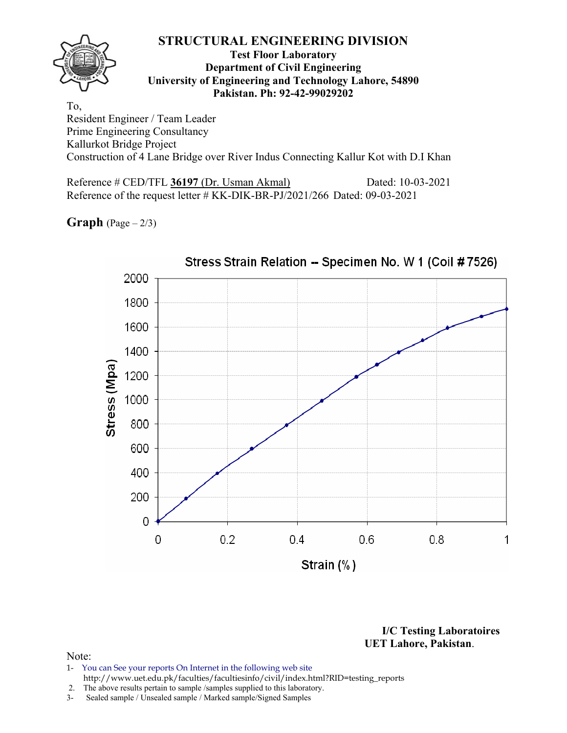

### **Test Floor Laboratory Department of Civil Engineering University of Engineering and Technology Lahore, 54890 Pakistan. Ph: 92-42-99029202**

To, Resident Engineer / Team Leader Prime Engineering Consultancy Kallurkot Bridge Project Construction of 4 Lane Bridge over River Indus Connecting Kallur Kot with D.I Khan

Reference # CED/TFL **36197** (Dr. Usman Akmal) Dated: 10-03-2021 Reference of the request letter # KK-DIK-BR-PJ/2021/266 Dated: 09-03-2021

**Graph**  $(Page - 2/3)$ 



**I/C Testing Laboratoires UET Lahore, Pakistan**.

- 1- You can See your reports On Internet in the following web site http://www.uet.edu.pk/faculties/facultiesinfo/civil/index.html?RID=testing\_reports
- 2. The above results pertain to sample /samples supplied to this laboratory.
- 3- Sealed sample / Unsealed sample / Marked sample/Signed Samples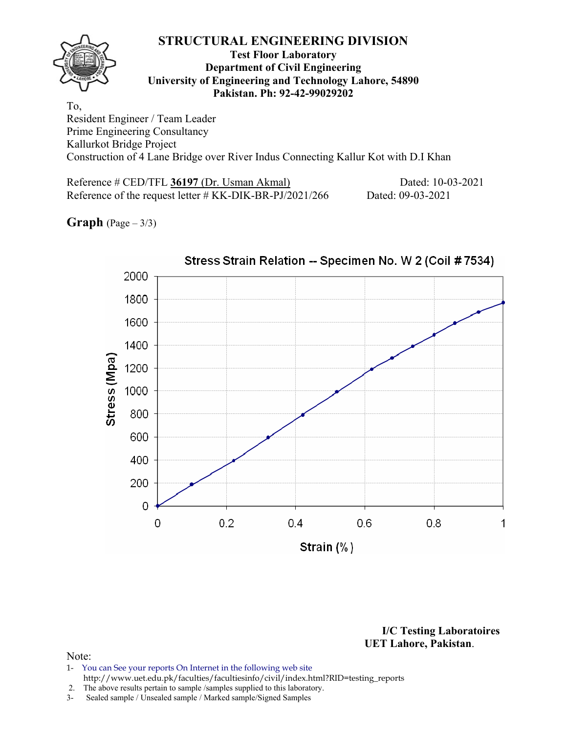

### **Test Floor Laboratory Department of Civil Engineering University of Engineering and Technology Lahore, 54890 Pakistan. Ph: 92-42-99029202**

To, Resident Engineer / Team Leader Prime Engineering Consultancy Kallurkot Bridge Project Construction of 4 Lane Bridge over River Indus Connecting Kallur Kot with D.I Khan

Reference # CED/TFL **36197** (Dr. Usman Akmal) Dated: 10-03-2021 Reference of the request letter # KK-DIK-BR-PJ/2021/266 Dated: 09-03-2021

**Graph**  $(Page - 3/3)$ 



**I/C Testing Laboratoires UET Lahore, Pakistan**.

- 1- You can See your reports On Internet in the following web site http://www.uet.edu.pk/faculties/facultiesinfo/civil/index.html?RID=testing\_reports
- 2. The above results pertain to sample /samples supplied to this laboratory.
- 3- Sealed sample / Unsealed sample / Marked sample/Signed Samples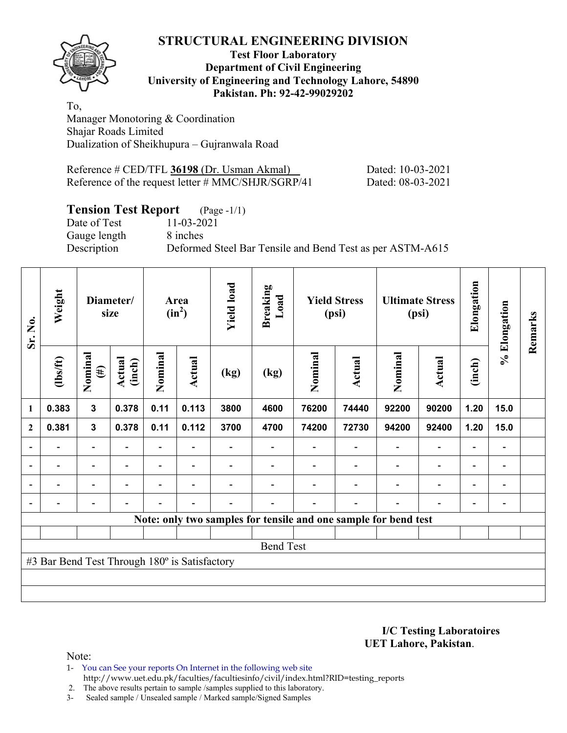### **STRUCTURAL ENGINEERING DIVISION Test Floor Laboratory Department of Civil Engineering University of Engineering and Technology Lahore, 54890 Pakistan. Ph: 92-42-99029202**

To, Manager Monotoring & Coordination Shajar Roads Limited Dualization of Sheikhupura – Gujranwala Road

| Reference # CED/TFL 36198 (Dr. Usman Akmal)        | Dated: 10-03-2021 |
|----------------------------------------------------|-------------------|
| Reference of the request letter # MMC/SHJR/SGRP/41 | Dated: 08-03-2021 |

# **Tension Test Report** (Page -1/1)

Date of Test 11-03-2021 Gauge length 8 inches

Description Deformed Steel Bar Tensile and Bend Test as per ASTM-A615

| Sr. No.                  | Weight                                        |                          | Diameter/<br>size | Area<br>$(in^2)$ |                          | <b>Yield load</b>        | <b>Breaking</b><br>Load | <b>Yield Stress</b><br>(psi) |                                                                 | <b>Ultimate Stress</b><br>(psi) |                              |                          |                          | Elongation | % Elongation | Remarks |
|--------------------------|-----------------------------------------------|--------------------------|-------------------|------------------|--------------------------|--------------------------|-------------------------|------------------------------|-----------------------------------------------------------------|---------------------------------|------------------------------|--------------------------|--------------------------|------------|--------------|---------|
|                          | $\frac{2}{10}$                                | Nominal<br>$(\#)$        | Actual<br>(inch)  | Nominal          | Actual                   | (kg)                     | (kg)                    | Nominal                      | Actual                                                          | Nominal                         | Actual                       | (inch)                   |                          |            |              |         |
| $\mathbf{1}$             | 0.383                                         | $\mathbf{3}$             | 0.378             | 0.11             | 0.113                    | 3800                     | 4600                    | 76200                        | 74440                                                           | 92200                           | 90200                        | 1.20                     | 15.0                     |            |              |         |
| $\overline{2}$           | 0.381                                         | $\mathbf{3}$             | 0.378             | 0.11             | 0.112                    | 3700                     | 4700                    | 74200                        | 72730                                                           | 94200                           | 92400                        | 1.20                     | 15.0                     |            |              |         |
|                          |                                               | $\overline{\phantom{0}}$ |                   |                  |                          |                          |                         |                              |                                                                 |                                 | $\overline{\phantom{0}}$     | $\overline{\phantom{0}}$ |                          |            |              |         |
| $\overline{\phantom{a}}$ | $\overline{\phantom{0}}$                      | $\overline{\phantom{a}}$ | $\blacksquare$    | $\blacksquare$   | $\overline{\phantom{a}}$ |                          |                         |                              | $\blacksquare$                                                  | $\overline{\phantom{a}}$        | $\overline{\phantom{a}}$     | $\overline{\phantom{a}}$ | $\overline{\phantom{a}}$ |            |              |         |
|                          | $\overline{\phantom{0}}$                      | $\overline{\phantom{a}}$ |                   | $\blacksquare$   | ۰                        |                          |                         |                              |                                                                 | $\blacksquare$                  | $\qquad \qquad \blacksquare$ | $\overline{\phantom{0}}$ | $\overline{\phantom{0}}$ |            |              |         |
|                          | $\overline{\phantom{0}}$                      | $\overline{\phantom{a}}$ |                   | $\blacksquare$   | $\overline{\phantom{a}}$ | $\overline{\phantom{0}}$ |                         |                              | $\blacksquare$                                                  | $\blacksquare$                  | $\overline{\phantom{0}}$     | $\overline{\phantom{a}}$ | $\blacksquare$           |            |              |         |
|                          |                                               |                          |                   |                  |                          |                          |                         |                              | Note: only two samples for tensile and one sample for bend test |                                 |                              |                          |                          |            |              |         |
|                          |                                               |                          |                   |                  |                          |                          |                         |                              |                                                                 |                                 |                              |                          |                          |            |              |         |
|                          |                                               |                          |                   |                  |                          |                          | <b>Bend Test</b>        |                              |                                                                 |                                 |                              |                          |                          |            |              |         |
|                          | #3 Bar Bend Test Through 180° is Satisfactory |                          |                   |                  |                          |                          |                         |                              |                                                                 |                                 |                              |                          |                          |            |              |         |
|                          |                                               |                          |                   |                  |                          |                          |                         |                              |                                                                 |                                 |                              |                          |                          |            |              |         |
|                          |                                               |                          |                   |                  |                          |                          |                         |                              |                                                                 |                                 |                              |                          |                          |            |              |         |

**I/C Testing Laboratoires UET Lahore, Pakistan**.

Note:

1- You can See your reports On Internet in the following web site http://www.uet.edu.pk/faculties/facultiesinfo/civil/index.html?RID=testing\_reports

2. The above results pertain to sample /samples supplied to this laboratory.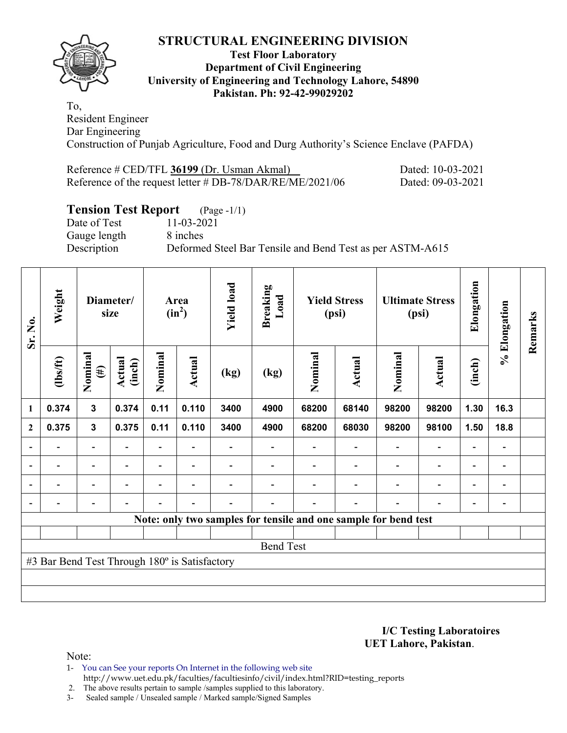

### **Test Floor Laboratory Department of Civil Engineering University of Engineering and Technology Lahore, 54890 Pakistan. Ph: 92-42-99029202**

To, Resident Engineer Dar Engineering Construction of Punjab Agriculture, Food and Durg Authority's Science Enclave (PAFDA)

| Reference # CED/TFL 36199 (Dr. Usman Akmal)                  | Dated: 10-03-2021 |
|--------------------------------------------------------------|-------------------|
| Reference of the request letter $\#$ DB-78/DAR/RE/ME/2021/06 | Dated: 09-03-2021 |

# **Tension Test Report** (Page -1/1)

Date of Test 11-03-2021 Gauge length 8 inches

Description Deformed Steel Bar Tensile and Bend Test as per ASTM-A615

| Sr. No.                  | Weight                                        |                          | Diameter/<br>size        |                | Area<br>$(in^2)$         | <b>Yield load</b> | <b>Breaking</b><br>Load | <b>Yield Stress</b><br>(psi)<br>(psi) |                                                                 | <b>Ultimate Stress</b>   |                          | Elongation               | % Elongation   | Remarks |
|--------------------------|-----------------------------------------------|--------------------------|--------------------------|----------------|--------------------------|-------------------|-------------------------|---------------------------------------|-----------------------------------------------------------------|--------------------------|--------------------------|--------------------------|----------------|---------|
|                          | $\frac{2}{10}$                                | Nominal<br>$(\#)$        | Actual<br>(inch)         | Nominal        | Actual                   | (kg)              | (kg)                    | Nominal                               | Actual                                                          | Nominal                  | Actual                   | (inch)                   |                |         |
| 1                        | 0.374                                         | $\mathbf{3}$             | 0.374                    | 0.11           | 0.110                    | 3400              | 4900                    | 68200                                 | 68140                                                           | 98200                    | 98200                    | 1.30                     | 16.3           |         |
| $\mathbf{2}$             | 0.375                                         | $\mathbf{3}$             | 0.375                    | 0.11           | 0.110                    | 3400              | 4900                    | 68200                                 | 68030                                                           | 98200                    | 98100                    | 1.50                     | 18.8           |         |
|                          |                                               | $\overline{\phantom{0}}$ |                          |                |                          |                   |                         |                                       |                                                                 |                          | $\overline{\phantom{0}}$ | $\blacksquare$           |                |         |
| $\overline{\phantom{a}}$ | $\overline{\phantom{0}}$                      | $\overline{\phantom{a}}$ | $\overline{\phantom{a}}$ |                | $\blacksquare$           |                   |                         |                                       | $\blacksquare$                                                  | $\overline{\phantom{0}}$ | $\overline{a}$           | $\overline{\phantom{0}}$ | $\blacksquare$ |         |
| $\blacksquare$           | $\overline{\phantom{0}}$                      | Ξ.                       | $\blacksquare$           | $\blacksquare$ | $\blacksquare$           |                   |                         |                                       | $\overline{\phantom{0}}$                                        | $\overline{\phantom{0}}$ | $\blacksquare$           | $\overline{\phantom{0}}$ | $\blacksquare$ |         |
| $\blacksquare$           | -                                             | -                        | ۰                        | $\blacksquare$ | $\overline{\phantom{0}}$ | $\blacksquare$    |                         |                                       | $\overline{\phantom{a}}$                                        | $\overline{\phantom{0}}$ | $\blacksquare$           | $\overline{\phantom{0}}$ | $\blacksquare$ |         |
|                          |                                               |                          |                          |                |                          |                   |                         |                                       | Note: only two samples for tensile and one sample for bend test |                          |                          |                          |                |         |
|                          |                                               |                          |                          |                |                          |                   |                         |                                       |                                                                 |                          |                          |                          |                |         |
|                          |                                               |                          |                          |                |                          |                   | <b>Bend Test</b>        |                                       |                                                                 |                          |                          |                          |                |         |
|                          | #3 Bar Bend Test Through 180° is Satisfactory |                          |                          |                |                          |                   |                         |                                       |                                                                 |                          |                          |                          |                |         |
|                          |                                               |                          |                          |                |                          |                   |                         |                                       |                                                                 |                          |                          |                          |                |         |
|                          |                                               |                          |                          |                |                          |                   |                         |                                       |                                                                 |                          |                          |                          |                |         |

**I/C Testing Laboratoires UET Lahore, Pakistan**.

Note:

1- You can See your reports On Internet in the following web site http://www.uet.edu.pk/faculties/facultiesinfo/civil/index.html?RID=testing\_reports

2. The above results pertain to sample /samples supplied to this laboratory.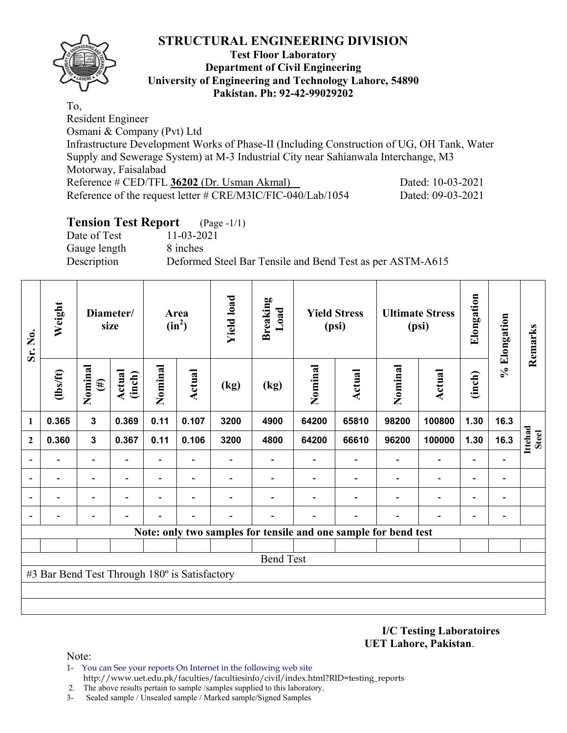

### **Test Floor Laboratory Department of Civil Engineering University of Engineering and Technology Lahore, 54890 Pakistan. Ph: 92-42-99029202**

To, Resident Engineer Osmani & Company (Pvt) Ltd Infrastructure Development Works of Phase-II (Including Construction of UG, OH Tank, Water Supply and Sewerage System) at M-3 Industrial City near Sahianwala Interchange, M3 Motorway, Faisalabad Reference # CED/TFL **36202** (Dr. Usman Akmal) Dated: 10-03-2021 Reference of the request letter # CRE/M3IC/FIC-040/Lab/1054 Dated: 09-03-2021

# **Tension Test Report** (Page -1/1)

Date of Test 11-03-2021 Gauge length 8 inches

Description Deformed Steel Bar Tensile and Bend Test as per ASTM-A615

| Sr. No.      | Weight                                        |                          | Diameter/<br>size | Area<br>$(in^2)$         |                          | <b>Yield load</b> | <b>Breaking</b><br>Load |                                                                 | <b>Yield Stress</b><br>(psi) |                          | <b>Ultimate Stress</b><br>(psi) |                          | % Elongation                 | Remarks                 |
|--------------|-----------------------------------------------|--------------------------|-------------------|--------------------------|--------------------------|-------------------|-------------------------|-----------------------------------------------------------------|------------------------------|--------------------------|---------------------------------|--------------------------|------------------------------|-------------------------|
|              | $\frac{2}{10}$                                | Nominal<br>$(\#)$        | Actual<br>(inch)  | Nominal                  | Actual                   | (kg)              | (kg)                    | Nominal                                                         | <b>Actual</b>                | Nominal                  | <b>Actual</b>                   | (inch)                   |                              |                         |
| 1            | 0.365                                         | $\mathbf{3}$             | 0.369             | 0.11                     | 0.107                    | 3200              | 4900                    | 64200                                                           | 65810                        | 98200                    | 100800                          | 1.30                     | 16.3                         |                         |
| $\mathbf{2}$ | 0.360                                         | $\mathbf{3}$             | 0.367             | 0.11                     | 0.106                    | 3200              | 4800                    | 64200                                                           | 66610                        | 96200                    | 100000                          | 1.30                     | 16.3                         | Ittehad<br><b>Steel</b> |
|              |                                               | $\overline{\phantom{0}}$ |                   | $\overline{\phantom{a}}$ | Ξ.                       |                   |                         |                                                                 | $\overline{\phantom{0}}$     | $\overline{\phantom{a}}$ | $\overline{\phantom{0}}$        |                          |                              |                         |
|              |                                               | -                        |                   | -                        | $\overline{\phantom{0}}$ |                   |                         |                                                                 |                              |                          | $\overline{\phantom{a}}$        | $\overline{\phantom{0}}$ | $\qquad \qquad \blacksquare$ |                         |
|              |                                               | -                        |                   | -                        |                          |                   |                         |                                                                 |                              |                          |                                 |                          | $\blacksquare$               |                         |
|              |                                               |                          |                   |                          |                          |                   |                         |                                                                 |                              |                          |                                 |                          | -                            |                         |
|              |                                               |                          |                   |                          |                          |                   |                         | Note: only two samples for tensile and one sample for bend test |                              |                          |                                 |                          |                              |                         |
|              |                                               |                          |                   |                          |                          |                   |                         |                                                                 |                              |                          |                                 |                          |                              |                         |
|              |                                               |                          |                   |                          |                          |                   | <b>Bend Test</b>        |                                                                 |                              |                          |                                 |                          |                              |                         |
|              | #3 Bar Bend Test Through 180° is Satisfactory |                          |                   |                          |                          |                   |                         |                                                                 |                              |                          |                                 |                          |                              |                         |
|              |                                               |                          |                   |                          |                          |                   |                         |                                                                 |                              |                          |                                 |                          |                              |                         |
|              |                                               |                          |                   |                          |                          |                   |                         |                                                                 |                              |                          |                                 |                          |                              |                         |

**I/C Testing Laboratoires UET Lahore, Pakistan**.

- 1- You can See your reports On Internet in the following web site http://www.uet.edu.pk/faculties/facultiesinfo/civil/index.html?RID=testing\_reports
- 2. The above results pertain to sample /samples supplied to this laboratory.
- 3- Sealed sample / Unsealed sample / Marked sample/Signed Samples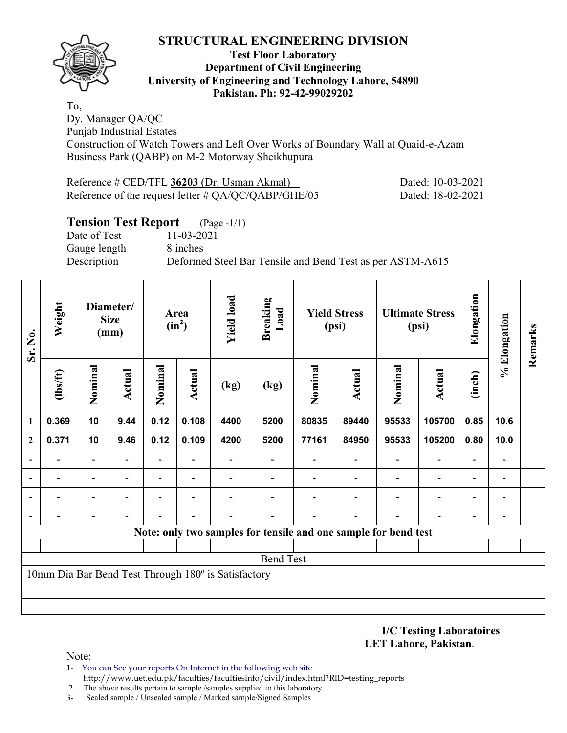

### **Test Floor Laboratory Department of Civil Engineering University of Engineering and Technology Lahore, 54890 Pakistan. Ph: 92-42-99029202**

To, Dy. Manager QA/QC Punjab Industrial Estates

Construction of Watch Towers and Left Over Works of Boundary Wall at Quaid-e-Azam Business Park (QABP) on M-2 Motorway Sheikhupura

| Reference # CED/TFL 36203 (Dr. Usman Akmal)            | Dated: 10-03-2021 |
|--------------------------------------------------------|-------------------|
| Reference of the request letter $\#$ QA/QC/QABP/GHE/05 | Dated: 18-02-2021 |

# **Tension Test Report** (Page -1/1)

Date of Test 11-03-2021 Gauge length 8 inches

Description Deformed Steel Bar Tensile and Bend Test as per ASTM-A615

| Sr. No.                  | Weight                   |                          | Diameter/<br><b>Size</b><br>(mm) | Area<br>$(in^2)$         |                          | <b>Yield load</b>                                   | <b>Breaking</b><br>Load  |         | <b>Yield Stress</b><br>(psi)                                    | <b>Ultimate Stress</b><br>(psi) |                          |                          |                              | Elongation | % Elongation | Remarks |
|--------------------------|--------------------------|--------------------------|----------------------------------|--------------------------|--------------------------|-----------------------------------------------------|--------------------------|---------|-----------------------------------------------------------------|---------------------------------|--------------------------|--------------------------|------------------------------|------------|--------------|---------|
|                          | (1bs/ft)                 | Nominal                  | Actual                           | Nominal                  | Actual                   | (kg)                                                | (kg)                     | Nominal | <b>Actual</b>                                                   | Nominal                         | <b>Actual</b>            | (inch)                   |                              |            |              |         |
| 1                        | 0.369                    | 10                       | 9.44                             | 0.12                     | 0.108                    | 4400                                                | 5200                     | 80835   | 89440                                                           | 95533                           | 105700                   | 0.85                     | 10.6                         |            |              |         |
| $\overline{2}$           | 0.371                    | 10                       | 9.46                             | 0.12                     | 0.109                    | 4200                                                | 5200                     | 77161   | 84950                                                           | 95533                           | 105200                   | 0.80                     | 10.0                         |            |              |         |
|                          |                          | -                        |                                  | -                        |                          |                                                     |                          |         |                                                                 |                                 |                          |                          | -                            |            |              |         |
|                          |                          | -                        |                                  |                          |                          |                                                     |                          |         |                                                                 |                                 | ٠                        |                          | -                            |            |              |         |
| $\overline{\phantom{0}}$ | $\overline{\phantom{0}}$ | $\overline{\phantom{a}}$ | $\overline{\phantom{0}}$         | $\overline{\phantom{0}}$ | $\overline{\phantom{a}}$ |                                                     | $\overline{\phantom{0}}$ |         |                                                                 | $\overline{\phantom{0}}$        | $\overline{\phantom{a}}$ | $\blacksquare$           | $\overline{\phantom{a}}$     |            |              |         |
|                          |                          | -                        |                                  |                          |                          |                                                     |                          |         |                                                                 |                                 |                          | $\overline{\phantom{0}}$ | $\qquad \qquad \blacksquare$ |            |              |         |
|                          |                          |                          |                                  |                          |                          |                                                     |                          |         | Note: only two samples for tensile and one sample for bend test |                                 |                          |                          |                              |            |              |         |
|                          |                          |                          |                                  |                          |                          |                                                     |                          |         |                                                                 |                                 |                          |                          |                              |            |              |         |
|                          |                          |                          |                                  |                          |                          |                                                     | <b>Bend Test</b>         |         |                                                                 |                                 |                          |                          |                              |            |              |         |
|                          |                          |                          |                                  |                          |                          | 10mm Dia Bar Bend Test Through 180° is Satisfactory |                          |         |                                                                 |                                 |                          |                          |                              |            |              |         |
|                          |                          |                          |                                  |                          |                          |                                                     |                          |         |                                                                 |                                 |                          |                          |                              |            |              |         |
|                          |                          |                          |                                  |                          |                          |                                                     |                          |         |                                                                 |                                 |                          |                          |                              |            |              |         |

**I/C Testing Laboratoires UET Lahore, Pakistan**.

- 1- You can See your reports On Internet in the following web site http://www.uet.edu.pk/faculties/facultiesinfo/civil/index.html?RID=testing\_reports
- 2. The above results pertain to sample /samples supplied to this laboratory.
- 3- Sealed sample / Unsealed sample / Marked sample/Signed Samples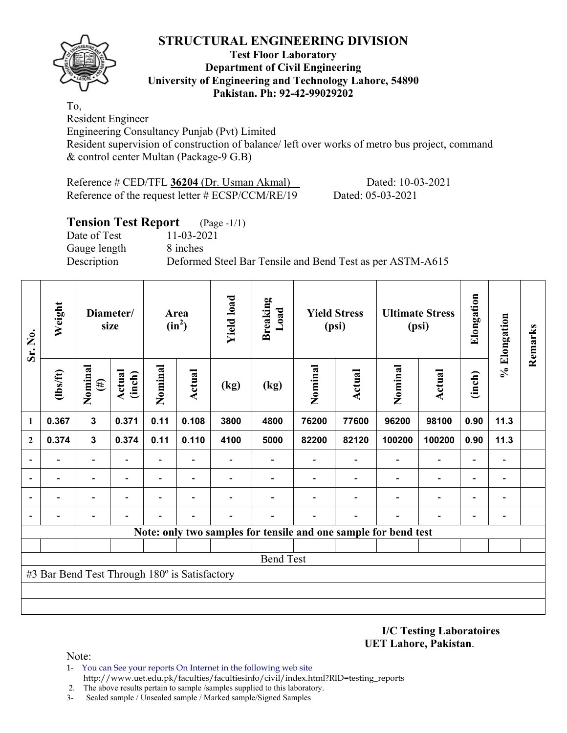

### **Test Floor Laboratory Department of Civil Engineering University of Engineering and Technology Lahore, 54890 Pakistan. Ph: 92-42-99029202**

To, Resident Engineer

Engineering Consultancy Punjab (Pvt) Limited

Resident supervision of construction of balance/ left over works of metro bus project, command & control center Multan (Package-9 G.B)

Reference # CED/TFL **36204** (Dr. Usman Akmal) Dated: 10-03-2021 Reference of the request letter # ECSP/CCM/RE/19 Dated: 05-03-2021

# **Tension Test Report** (Page -1/1) Date of Test 11-03-2021 Gauge length 8 inches Description Deformed Steel Bar Tensile and Bend Test as per ASTM-A615

| Sr. No.      | Weight                                        |                   | Diameter/<br>size       | Area<br>$(in^2)$ |                | <b>Yield load</b> | <b>Breaking</b><br>Load                                         | <b>Yield Stress</b><br>(psi) |               | <b>Ultimate Stress</b><br>(psi) |                          |                          |      | Elongation | % Elongation | Remarks |
|--------------|-----------------------------------------------|-------------------|-------------------------|------------------|----------------|-------------------|-----------------------------------------------------------------|------------------------------|---------------|---------------------------------|--------------------------|--------------------------|------|------------|--------------|---------|
|              | (1bs/ft)                                      | Nominal<br>$(\#)$ | <b>Actual</b><br>(inch) | Nominal          | Actual         | (kg)              | (kg)                                                            | Nominal                      | <b>Actual</b> | Nominal                         | Actual                   | (inch)                   |      |            |              |         |
| 1            | 0.367                                         | $\mathbf{3}$      | 0.371                   | 0.11             | 0.108          | 3800              | 4800                                                            | 76200                        | 77600         | 96200                           | 98100                    | 0.90                     | 11.3 |            |              |         |
| $\mathbf{2}$ | 0.374                                         | $\mathbf{3}$      | 0.374                   | 0.11             | 0.110          | 4100              | 5000                                                            | 82200                        | 82120         | 100200                          | 100200                   | 0.90                     | 11.3 |            |              |         |
| ۰            |                                               |                   |                         | $\blacksquare$   |                |                   |                                                                 |                              |               |                                 | $\overline{\phantom{0}}$ | $\overline{a}$           |      |            |              |         |
| ۰            |                                               |                   |                         | $\blacksquare$   |                |                   |                                                                 |                              |               |                                 | $\overline{\phantom{0}}$ | $\overline{\phantom{0}}$ |      |            |              |         |
|              |                                               |                   |                         | -                | $\blacksquare$ |                   |                                                                 |                              |               |                                 | $\overline{\phantom{0}}$ | ۰                        |      |            |              |         |
|              |                                               |                   |                         |                  |                |                   |                                                                 |                              |               |                                 |                          | $\blacksquare$           |      |            |              |         |
|              |                                               |                   |                         |                  |                |                   | Note: only two samples for tensile and one sample for bend test |                              |               |                                 |                          |                          |      |            |              |         |
|              |                                               |                   |                         |                  |                |                   |                                                                 |                              |               |                                 |                          |                          |      |            |              |         |
|              |                                               |                   |                         |                  |                |                   | <b>Bend Test</b>                                                |                              |               |                                 |                          |                          |      |            |              |         |
|              | #3 Bar Bend Test Through 180° is Satisfactory |                   |                         |                  |                |                   |                                                                 |                              |               |                                 |                          |                          |      |            |              |         |
|              |                                               |                   |                         |                  |                |                   |                                                                 |                              |               |                                 |                          |                          |      |            |              |         |
|              |                                               |                   |                         |                  |                |                   |                                                                 |                              |               |                                 |                          |                          |      |            |              |         |

**I/C Testing Laboratoires UET Lahore, Pakistan**.

- 1- You can See your reports On Internet in the following web site http://www.uet.edu.pk/faculties/facultiesinfo/civil/index.html?RID=testing\_reports
- 2. The above results pertain to sample /samples supplied to this laboratory.
- 3- Sealed sample / Unsealed sample / Marked sample/Signed Samples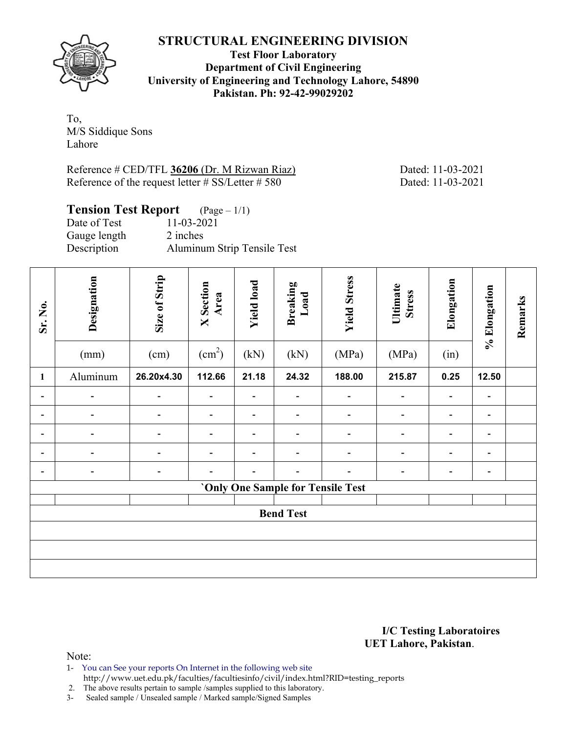

**Test Floor Laboratory Department of Civil Engineering University of Engineering and Technology Lahore, 54890 Pakistan. Ph: 92-42-99029202** 

To, M/S Siddique Sons Lahore

Reference # CED/TFL **36206** (Dr. M Rizwan Riaz) Dated: 11-03-2021 Reference of the request letter # SS/Letter # 580 Dated: 11-03-2021

# **Tension Test Report** (Page – 1/1)

| Date of Test | $11 - 03 - 2021$            |
|--------------|-----------------------------|
| Gauge length | 2 inches                    |
| Description  | Aluminum Strip Tensile Test |

| Sr. No.                  | Designation<br>(mm)      | Size of Strip<br>(cm)    | <b>X</b> Section<br>Area<br>$\text{(cm}^2\text{)}$ | <b>Yield load</b><br>(kN) | <b>Breaking</b><br>Load<br>(kN)          | <b>Yield Stress</b><br>(MPa) | Ultimate<br><b>Stress</b><br>(MPa) | Elongation<br>(in) | % Elongation                 | Remarks |
|--------------------------|--------------------------|--------------------------|----------------------------------------------------|---------------------------|------------------------------------------|------------------------------|------------------------------------|--------------------|------------------------------|---------|
| $\mathbf{1}$             | Aluminum                 | 26.20x4.30               | 112.66                                             | 21.18                     | 24.32                                    | 188.00                       | 215.87                             | 0.25               | 12.50                        |         |
| Ξ.                       |                          |                          |                                                    |                           | $\overline{\phantom{0}}$                 |                              | $\overline{\phantom{0}}$           |                    |                              |         |
| $\overline{\phantom{0}}$ |                          |                          |                                                    |                           | $\qquad \qquad \blacksquare$             |                              | $\qquad \qquad \blacksquare$       |                    | $\blacksquare$               |         |
| Ξ.                       | $\overline{\phantom{0}}$ | $\overline{\phantom{0}}$ |                                                    |                           | $\overline{a}$                           |                              | -                                  |                    | $\overline{\phantom{0}}$     |         |
|                          |                          |                          |                                                    |                           | -                                        |                              |                                    |                    |                              |         |
| $\overline{\phantom{0}}$ |                          | -                        |                                                    |                           |                                          |                              | -                                  |                    | $\qquad \qquad \blacksquare$ |         |
|                          |                          |                          |                                                    |                           | <b>'Only One Sample for Tensile Test</b> |                              |                                    |                    |                              |         |
|                          |                          |                          |                                                    |                           | <b>Bend Test</b>                         |                              |                                    |                    |                              |         |
|                          |                          |                          |                                                    |                           |                                          |                              |                                    |                    |                              |         |
|                          |                          |                          |                                                    |                           |                                          |                              |                                    |                    |                              |         |
|                          |                          |                          |                                                    |                           |                                          |                              |                                    |                    |                              |         |

**I/C Testing Laboratoires UET Lahore, Pakistan**.

Note:

- 1- You can See your reports On Internet in the following web site
- http://www.uet.edu.pk/faculties/facultiesinfo/civil/index.html?RID=testing\_reports

2. The above results pertain to sample /samples supplied to this laboratory.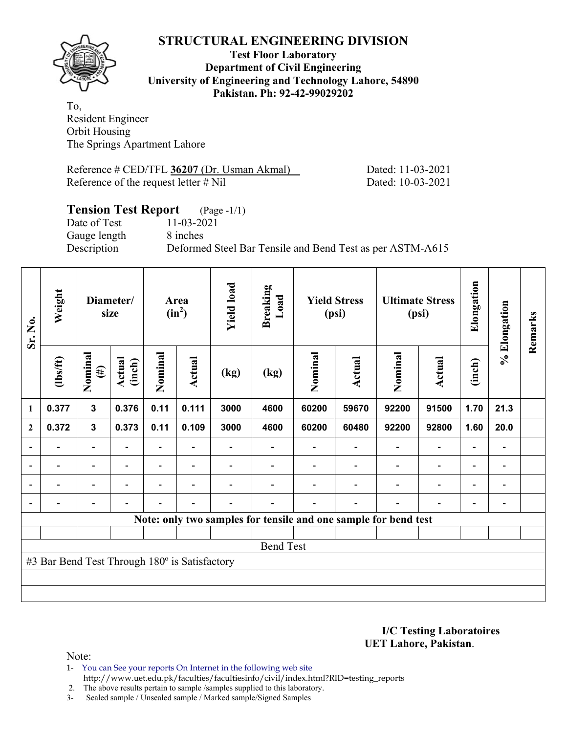

### **Test Floor Laboratory Department of Civil Engineering University of Engineering and Technology Lahore, 54890 Pakistan. Ph: 92-42-99029202**

To, Resident Engineer Orbit Housing The Springs Apartment Lahore

Reference # CED/TFL 36207 (Dr. Usman Akmal) Dated: 11-03-2021 Reference of the request letter # Nil Dated: 10-03-2021

# **Tension Test Report** (Page -1/1) Date of Test 11-03-2021 Gauge length 8 inches Description Deformed Steel Bar Tensile and Bend Test as per ASTM-A615

| Sr. No.        | Weight                                        |                          | Diameter/<br>size        |         | Area<br>$(in^2)$         | <b>Yield load</b> | <b>Breaking</b><br>Load                                         |         | <b>Yield Stress</b><br>(psi) | <b>Ultimate Stress</b><br>(psi) |                          | Elongation               | % Elongation             | Remarks |
|----------------|-----------------------------------------------|--------------------------|--------------------------|---------|--------------------------|-------------------|-----------------------------------------------------------------|---------|------------------------------|---------------------------------|--------------------------|--------------------------|--------------------------|---------|
|                | $\frac{2}{10}$                                | Nominal<br>$(\#)$        | Actual<br>(inch)         | Nominal | Actual                   | (kg)              | (kg)                                                            | Nominal | Actual                       | Nominal                         | Actual                   | (inch)                   |                          |         |
| $\mathbf{1}$   | 0.377                                         | $\mathbf{3}$             | 0.376                    | 0.11    | 0.111                    | 3000              | 4600                                                            | 60200   | 59670                        | 92200                           | 91500                    | 1.70                     | 21.3                     |         |
| $\mathbf{2}$   | 0.372                                         | $\mathbf{3}$             | 0.373                    | 0.11    | 0.109                    | 3000              | 4600                                                            | 60200   | 60480                        | 92200                           | 92800                    | 1.60                     | 20.0                     |         |
|                |                                               | $\blacksquare$           |                          |         |                          |                   |                                                                 |         |                              |                                 | $\overline{\phantom{a}}$ | $\blacksquare$           |                          |         |
| $\overline{a}$ |                                               | $\overline{\phantom{0}}$ |                          |         | $\overline{\phantom{0}}$ |                   |                                                                 |         |                              |                                 | $\overline{\phantom{a}}$ | -                        | $\overline{\phantom{a}}$ |         |
| $\blacksquare$ |                                               | $\overline{\phantom{a}}$ | $\overline{\phantom{0}}$ |         | $\overline{\phantom{a}}$ |                   |                                                                 |         | ۰                            |                                 | $\overline{\phantom{a}}$ | $\overline{\phantom{0}}$ | $\blacksquare$           |         |
|                | -                                             | $\qquad \qquad -$        |                          |         | $\overline{\phantom{a}}$ |                   |                                                                 |         | $\blacksquare$               | $\overline{\phantom{0}}$        | $\overline{\phantom{a}}$ | $\blacksquare$           | $\blacksquare$           |         |
|                |                                               |                          |                          |         |                          |                   | Note: only two samples for tensile and one sample for bend test |         |                              |                                 |                          |                          |                          |         |
|                |                                               |                          |                          |         |                          |                   |                                                                 |         |                              |                                 |                          |                          |                          |         |
|                |                                               |                          |                          |         |                          |                   | <b>Bend Test</b>                                                |         |                              |                                 |                          |                          |                          |         |
|                | #3 Bar Bend Test Through 180° is Satisfactory |                          |                          |         |                          |                   |                                                                 |         |                              |                                 |                          |                          |                          |         |
|                |                                               |                          |                          |         |                          |                   |                                                                 |         |                              |                                 |                          |                          |                          |         |
|                |                                               |                          |                          |         |                          |                   |                                                                 |         |                              |                                 |                          |                          |                          |         |

**I/C Testing Laboratoires UET Lahore, Pakistan**.

- 1- You can See your reports On Internet in the following web site http://www.uet.edu.pk/faculties/facultiesinfo/civil/index.html?RID=testing\_reports
- 2. The above results pertain to sample /samples supplied to this laboratory.
- 3- Sealed sample / Unsealed sample / Marked sample/Signed Samples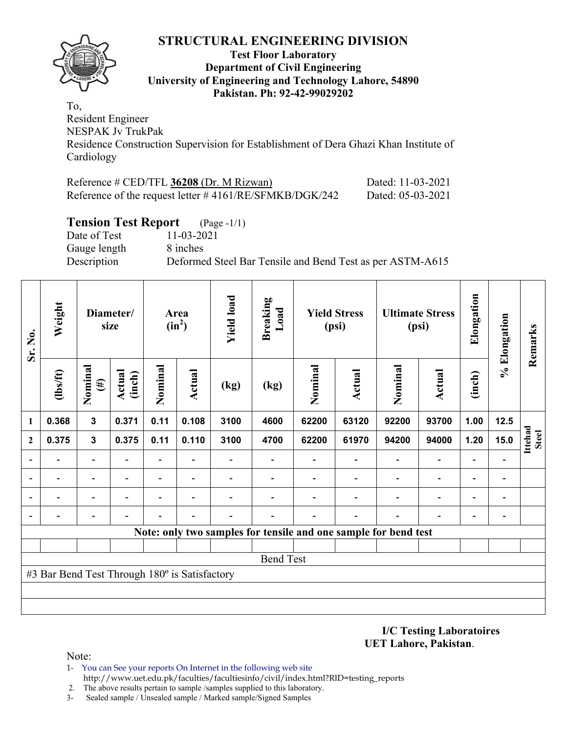

### **Test Floor Laboratory Department of Civil Engineering University of Engineering and Technology Lahore, 54890 Pakistan. Ph: 92-42-99029202**

To, Resident Engineer NESPAK Jv TrukPak Residence Construction Supervision for Establishment of Dera Ghazi Khan Institute of Cardiology

| Reference $\#$ CED/TFL 36208 (Dr. M Rizwan)               | Dated: 11-03-2021 |
|-----------------------------------------------------------|-------------------|
| Reference of the request letter $\#4161/RE/SFMKB/DGK/242$ | Dated: 05-03-2021 |

### **Tension Test Report** (Page -1/1)

Date of Test 11-03-2021 Gauge length 8 inches

Description Deformed Steel Bar Tensile and Bend Test as per ASTM-A615

| Sr. No.                                                         | Weight         | Diameter/<br>size        |                  | Area<br>$(in^2)$         |        | <b>Yield load</b> | <b>Breaking</b><br>Load | <b>Yield Stress</b><br>(psi) |        | <b>Ultimate Stress</b><br>(psi) |                          | Elongation               | % Elongation                 | Remarks                 |
|-----------------------------------------------------------------|----------------|--------------------------|------------------|--------------------------|--------|-------------------|-------------------------|------------------------------|--------|---------------------------------|--------------------------|--------------------------|------------------------------|-------------------------|
|                                                                 | $\frac{2}{10}$ | Nominal<br>$(\#)$        | Actual<br>(inch) | Nominal                  | Actual | (kg)              | (kg)                    | Nominal                      | Actual | Nominal                         | Actual                   | (inch)                   |                              |                         |
| $\mathbf{1}$                                                    | 0.368          | $\overline{\mathbf{3}}$  | 0.371            | 0.11                     | 0.108  | 3100              | 4600                    | 62200                        | 63120  | 92200                           | 93700                    | 1.00                     | 12.5                         |                         |
| $\overline{2}$                                                  | 0.375          | 3                        | 0.375            | 0.11                     | 0.110  | 3100              | 4700                    | 62200                        | 61970  | 94200                           | 94000                    | 1.20                     | 15.0                         | Ittehad<br><b>Steel</b> |
| $\overline{\phantom{a}}$                                        |                | $\overline{\phantom{a}}$ |                  | $\overline{\phantom{a}}$ |        |                   |                         |                              |        |                                 | $\overline{\phantom{a}}$ | $\overline{\phantom{0}}$ |                              |                         |
| $\overline{\phantom{a}}$                                        |                | $\overline{\phantom{0}}$ |                  |                          |        |                   |                         |                              |        |                                 | $\overline{a}$           | $\qquad \qquad -$        |                              |                         |
| $\overline{\phantom{a}}$                                        |                |                          |                  |                          |        |                   |                         |                              |        |                                 | -                        | -                        |                              |                         |
| $\overline{\phantom{a}}$                                        |                |                          |                  |                          |        |                   |                         |                              |        |                                 | $\overline{\phantom{0}}$ | $\overline{\phantom{0}}$ | $\qquad \qquad \blacksquare$ |                         |
| Note: only two samples for tensile and one sample for bend test |                |                          |                  |                          |        |                   |                         |                              |        |                                 |                          |                          |                              |                         |
|                                                                 |                |                          |                  |                          |        |                   |                         |                              |        |                                 |                          |                          |                              |                         |
| <b>Bend Test</b>                                                |                |                          |                  |                          |        |                   |                         |                              |        |                                 |                          |                          |                              |                         |
| #3 Bar Bend Test Through 180° is Satisfactory                   |                |                          |                  |                          |        |                   |                         |                              |        |                                 |                          |                          |                              |                         |
|                                                                 |                |                          |                  |                          |        |                   |                         |                              |        |                                 |                          |                          |                              |                         |
|                                                                 |                |                          |                  |                          |        |                   |                         |                              |        |                                 |                          |                          |                              |                         |

**I/C Testing Laboratoires UET Lahore, Pakistan**.

- 1- You can See your reports On Internet in the following web site http://www.uet.edu.pk/faculties/facultiesinfo/civil/index.html?RID=testing\_reports
- 2. The above results pertain to sample /samples supplied to this laboratory.
- 3- Sealed sample / Unsealed sample / Marked sample/Signed Samples